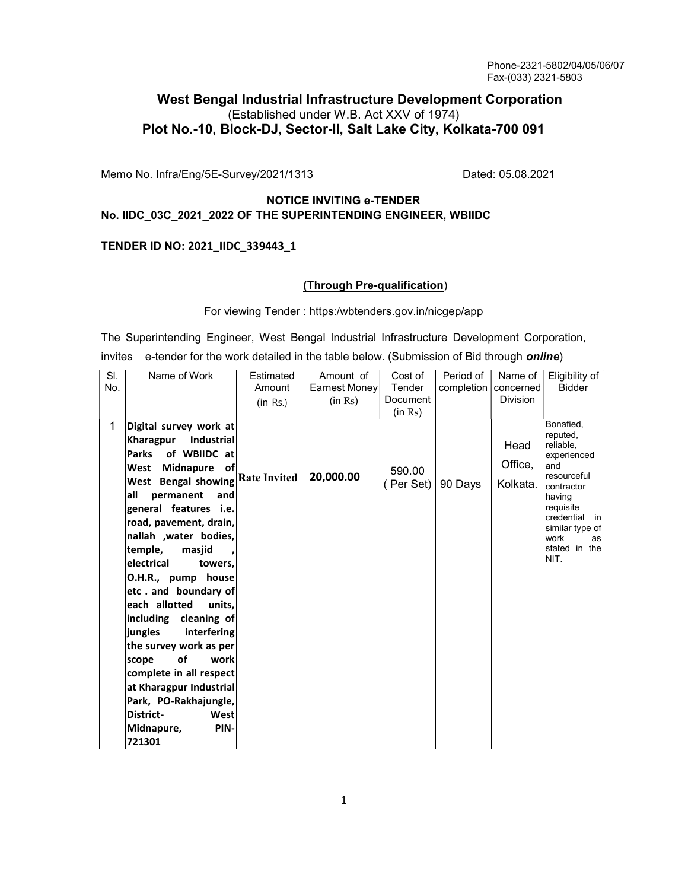# West Bengal Industrial Infrastructure Development Corporation (Established under W.B. Act XXV of 1974) Plot No.-10, Block-DJ, Sector-II, Salt Lake City, Kolkata-700 091

Memo No. Infra/Eng/5E-Survey/2021/1313 Dated: 05.08.2021

## NOTICE INVITING e-TENDER No. IIDC\_03C\_2021\_2022 OF THE SUPERINTENDING ENGINEER, WBIIDC

#### TENDER ID NO: 2021\_IIDC\_339443\_1

## (Through Pre-qualification)

For viewing Tender : https:/wbtenders.gov.in/nicgep/app

The Superintending Engineer, West Bengal Industrial Infrastructure Development Corporation, invites e-tender for the work detailed in the table below. (Submission of Bid through *online*)

| SI. | Name of Work                     | Estimated | Amount of     | Cost of   | Period of  | Name of         | Eligibility of                                 |
|-----|----------------------------------|-----------|---------------|-----------|------------|-----------------|------------------------------------------------|
| No. |                                  | Amount    | Earnest Money | Tender    | completion | concerned       | <b>Bidder</b>                                  |
|     |                                  | (in Rs.)  | (in Rs)       | Document  |            | <b>Division</b> |                                                |
|     |                                  |           |               | (in Rs)   |            |                 |                                                |
| 1   | Digital survey work at           |           |               |           |            |                 | Bonafied.<br>reputed,                          |
|     | Kharagpur<br>Industrial          |           |               |           |            | Head            | reliable.                                      |
|     | <b>Parks</b><br>of WBIIDC at     |           |               |           |            |                 | experienced                                    |
|     | <b>Midnapure</b><br>West<br>οf   |           |               | 590.00    |            | Office,         | and                                            |
|     | West Bengal showing Rate Invited |           | 20,000.00     | (Per Set) | 90 Days    | Kolkata.        | resourceful<br>contractor                      |
|     | permanent<br>lall<br>and         |           |               |           |            |                 | having                                         |
|     | general features i.e.            |           |               |           |            |                 | requisite                                      |
|     | road, pavement, drain,           |           |               |           |            |                 | credential<br><sub>in</sub><br>similar type of |
|     | nallah , water bodies,           |           |               |           |            |                 | work<br>asl                                    |
|     | temple,<br>masjid                |           |               |           |            |                 | stated in the                                  |
|     | electrical<br>towers,            |           |               |           |            |                 | NIT.                                           |
|     | O.H.R., pump house               |           |               |           |            |                 |                                                |
|     | etc. and boundary of             |           |               |           |            |                 |                                                |
|     | each allotted<br>units,          |           |               |           |            |                 |                                                |
|     | including cleaning of            |           |               |           |            |                 |                                                |
|     | jungles<br>interfering           |           |               |           |            |                 |                                                |
|     | the survey work as per           |           |               |           |            |                 |                                                |
|     | οf<br>work<br>scope              |           |               |           |            |                 |                                                |
|     | complete in all respect          |           |               |           |            |                 |                                                |
|     | at Kharagpur Industrial          |           |               |           |            |                 |                                                |
|     | Park, PO-Rakhajungle,            |           |               |           |            |                 |                                                |
|     | District-<br>West                |           |               |           |            |                 |                                                |
|     | PIN-<br>Midnapure,               |           |               |           |            |                 |                                                |
|     | 721301                           |           |               |           |            |                 |                                                |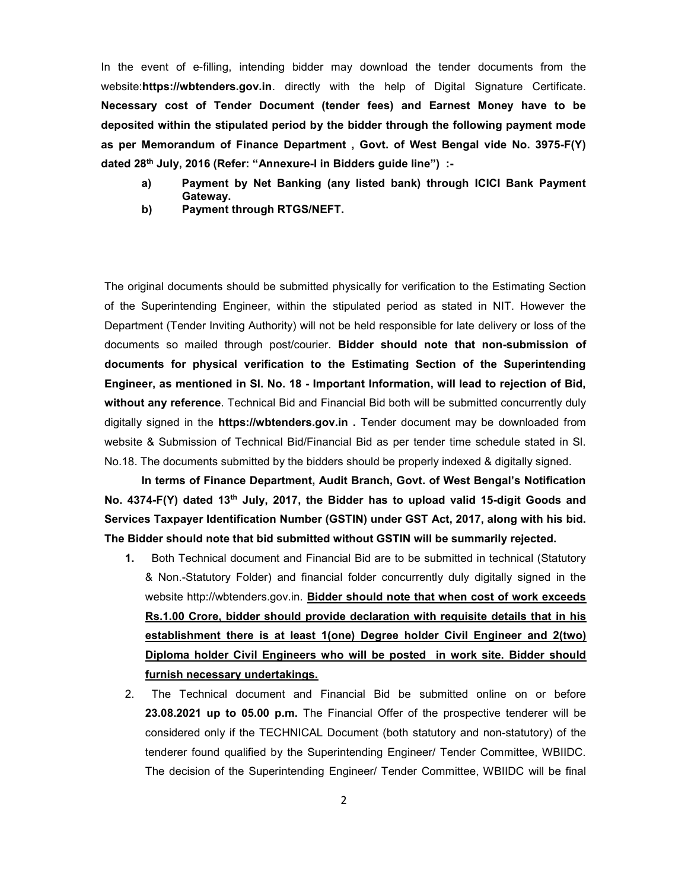In the event of e-filling, intending bidder may download the tender documents from the website: https://wbtenders.gov.in. directly with the help of Digital Signature Certificate. Necessary cost of Tender Document (tender fees) and Earnest Money have to be deposited within the stipulated period by the bidder through the following payment mode as per Memorandum of Finance Department , Govt. of West Bengal vide No. 3975-F(Y) dated 28th July, 2016 (Refer: "Annexure-I in Bidders guide line") :-

- a) Payment by Net Banking (any listed bank) through ICICI Bank Payment Gateway.
- b) Payment through RTGS/NEFT.

The original documents should be submitted physically for verification to the Estimating Section of the Superintending Engineer, within the stipulated period as stated in NIT. However the Department (Tender Inviting Authority) will not be held responsible for late delivery or loss of the documents so mailed through post/courier. Bidder should note that non-submission of documents for physical verification to the Estimating Section of the Superintending Engineer, as mentioned in Sl. No. 18 - Important Information, will lead to rejection of Bid, without any reference. Technical Bid and Financial Bid both will be submitted concurrently duly digitally signed in the https://wbtenders.gov.in. Tender document may be downloaded from website & Submission of Technical Bid/Financial Bid as per tender time schedule stated in Sl. No.18. The documents submitted by the bidders should be properly indexed & digitally signed.

 In terms of Finance Department, Audit Branch, Govt. of West Bengal's Notification No. 4374-F(Y) dated 13<sup>th</sup> July, 2017, the Bidder has to upload valid 15-digit Goods and Services Taxpayer Identification Number (GSTIN) under GST Act, 2017, along with his bid. The Bidder should note that bid submitted without GSTIN will be summarily rejected.

- 1. Both Technical document and Financial Bid are to be submitted in technical (Statutory & Non.-Statutory Folder) and financial folder concurrently duly digitally signed in the website http://wbtenders.gov.in. Bidder should note that when cost of work exceeds Rs.1.00 Crore, bidder should provide declaration with requisite details that in his establishment there is at least 1(one) Degree holder Civil Engineer and 2(two) Diploma holder Civil Engineers who will be posted in work site. Bidder should furnish necessary undertakings.
- 2. The Technical document and Financial Bid be submitted online on or before 23.08.2021 up to 05.00 p.m. The Financial Offer of the prospective tenderer will be considered only if the TECHNICAL Document (both statutory and non-statutory) of the tenderer found qualified by the Superintending Engineer/ Tender Committee, WBIIDC. The decision of the Superintending Engineer/ Tender Committee, WBIIDC will be final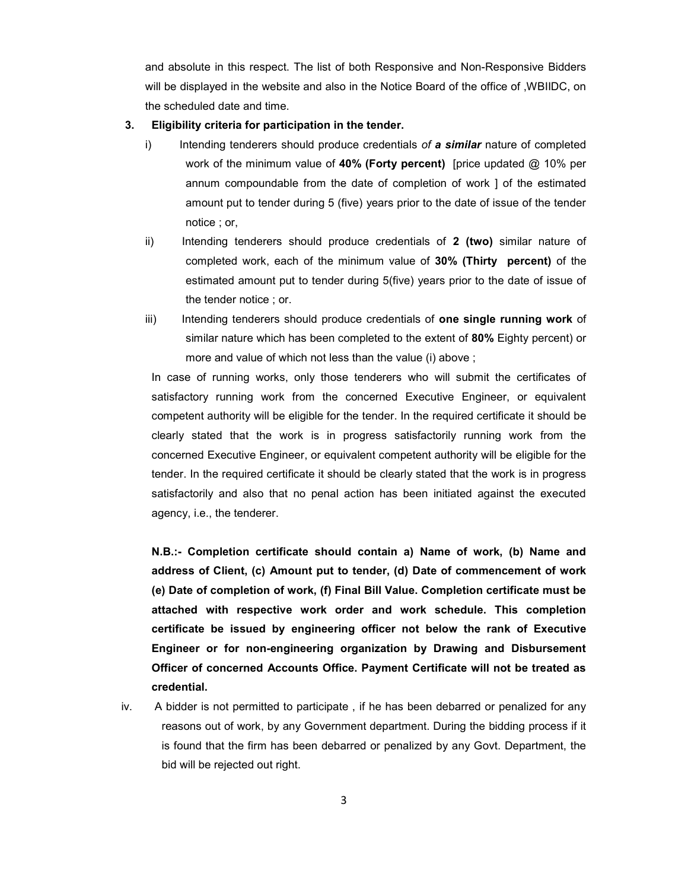and absolute in this respect. The list of both Responsive and Non-Responsive Bidders will be displayed in the website and also in the Notice Board of the office of ,WBIIDC, on the scheduled date and time.

#### 3. Eligibility criteria for participation in the tender.

- i) Intending tenderers should produce credentials of a similar nature of completed work of the minimum value of 40% (Forty percent) [price updated  $@$  10% per annum compoundable from the date of completion of work ] of the estimated amount put to tender during 5 (five) years prior to the date of issue of the tender notice ; or,
- ii) Intending tenderers should produce credentials of 2 (two) similar nature of completed work, each of the minimum value of 30% (Thirty percent) of the estimated amount put to tender during 5(five) years prior to the date of issue of the tender notice ; or.
- iii) Intending tenderers should produce credentials of one single running work of similar nature which has been completed to the extent of 80% Eighty percent) or more and value of which not less than the value (i) above ;

In case of running works, only those tenderers who will submit the certificates of satisfactory running work from the concerned Executive Engineer, or equivalent competent authority will be eligible for the tender. In the required certificate it should be clearly stated that the work is in progress satisfactorily running work from the concerned Executive Engineer, or equivalent competent authority will be eligible for the tender. In the required certificate it should be clearly stated that the work is in progress satisfactorily and also that no penal action has been initiated against the executed agency, i.e., the tenderer.

N.B.:- Completion certificate should contain a) Name of work, (b) Name and address of Client, (c) Amount put to tender, (d) Date of commencement of work (e) Date of completion of work, (f) Final Bill Value. Completion certificate must be attached with respective work order and work schedule. This completion certificate be issued by engineering officer not below the rank of Executive Engineer or for non-engineering organization by Drawing and Disbursement Officer of concerned Accounts Office. Payment Certificate will not be treated as credential.

iv. A bidder is not permitted to participate , if he has been debarred or penalized for any reasons out of work, by any Government department. During the bidding process if it is found that the firm has been debarred or penalized by any Govt. Department, the bid will be rejected out right.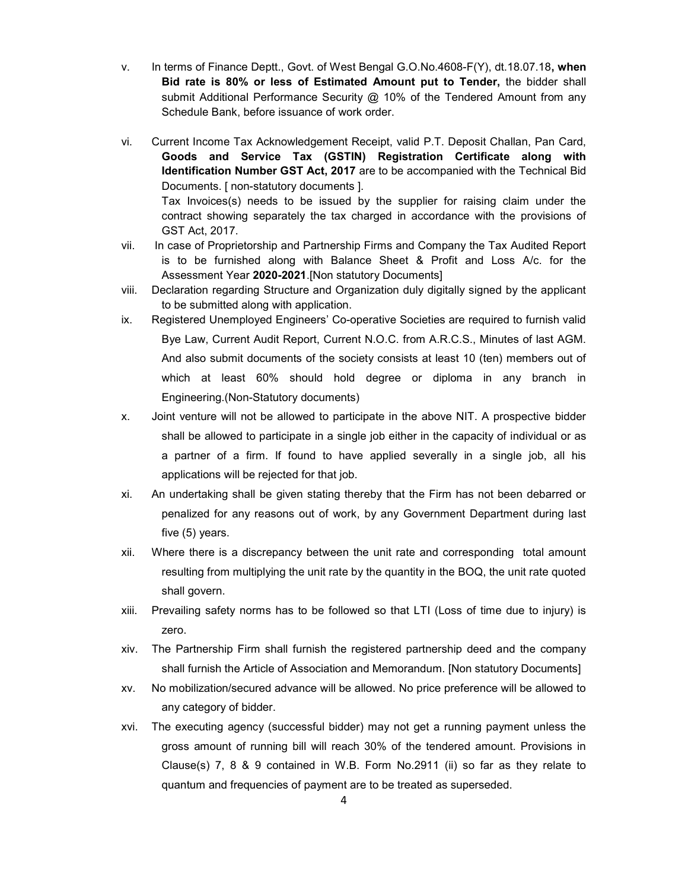- v. In terms of Finance Deptt., Govt. of West Bengal G.O.No.4608-F(Y), dt.18.07.18, when Bid rate is 80% or less of Estimated Amount put to Tender, the bidder shall submit Additional Performance Security  $\omega$  10% of the Tendered Amount from any Schedule Bank, before issuance of work order.
- vi. Current Income Tax Acknowledgement Receipt, valid P.T. Deposit Challan, Pan Card, Goods and Service Tax (GSTIN) Registration Certificate along with Identification Number GST Act, 2017 are to be accompanied with the Technical Bid Documents. [ non-statutory documents ]. Tax Invoices(s) needs to be issued by the supplier for raising claim under the contract showing separately the tax charged in accordance with the provisions of GST Act, 2017.
- vii. In case of Proprietorship and Partnership Firms and Company the Tax Audited Report is to be furnished along with Balance Sheet & Profit and Loss A/c. for the Assessment Year 2020-2021.[Non statutory Documents]
- viii. Declaration regarding Structure and Organization duly digitally signed by the applicant to be submitted along with application.
- ix. Registered Unemployed Engineers' Co-operative Societies are required to furnish valid Bye Law, Current Audit Report, Current N.O.C. from A.R.C.S., Minutes of last AGM. And also submit documents of the society consists at least 10 (ten) members out of which at least 60% should hold degree or diploma in any branch in Engineering.(Non-Statutory documents)
- x. Joint venture will not be allowed to participate in the above NIT. A prospective bidder shall be allowed to participate in a single job either in the capacity of individual or as a partner of a firm. If found to have applied severally in a single job, all his applications will be rejected for that job.
- xi. An undertaking shall be given stating thereby that the Firm has not been debarred or penalized for any reasons out of work, by any Government Department during last five (5) years.
- xii. Where there is a discrepancy between the unit rate and corresponding total amount resulting from multiplying the unit rate by the quantity in the BOQ, the unit rate quoted shall govern.
- xiii. Prevailing safety norms has to be followed so that LTI (Loss of time due to injury) is zero.
- xiv. The Partnership Firm shall furnish the registered partnership deed and the company shall furnish the Article of Association and Memorandum. [Non statutory Documents]
- xv. No mobilization/secured advance will be allowed. No price preference will be allowed to any category of bidder.
- xvi. The executing agency (successful bidder) may not get a running payment unless the gross amount of running bill will reach 30% of the tendered amount. Provisions in Clause(s)  $7, 8, 8, 9$  contained in W.B. Form No.2911 (ii) so far as they relate to quantum and frequencies of payment are to be treated as superseded.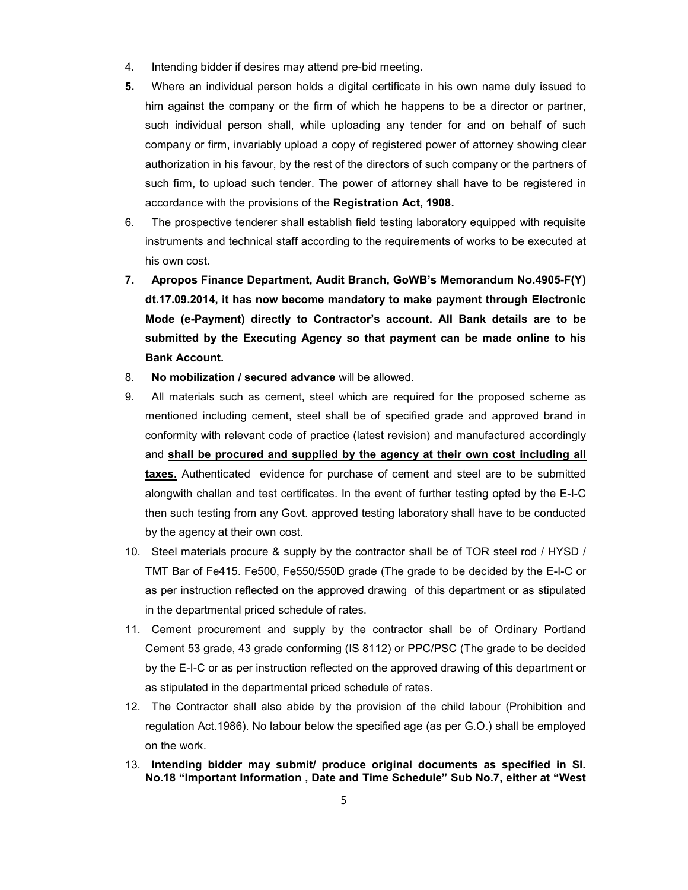- 4. Intending bidder if desires may attend pre-bid meeting.
- 5. Where an individual person holds a digital certificate in his own name duly issued to him against the company or the firm of which he happens to be a director or partner, such individual person shall, while uploading any tender for and on behalf of such company or firm, invariably upload a copy of registered power of attorney showing clear authorization in his favour, by the rest of the directors of such company or the partners of such firm, to upload such tender. The power of attorney shall have to be registered in accordance with the provisions of the Registration Act, 1908.
- 6. The prospective tenderer shall establish field testing laboratory equipped with requisite instruments and technical staff according to the requirements of works to be executed at his own cost.
- 7. Apropos Finance Department, Audit Branch, GoWB's Memorandum No.4905-F(Y) dt.17.09.2014, it has now become mandatory to make payment through Electronic Mode (e-Payment) directly to Contractor's account. All Bank details are to be submitted by the Executing Agency so that payment can be made online to his Bank Account.
- 8. No mobilization / secured advance will be allowed.
- 9. All materials such as cement, steel which are required for the proposed scheme as mentioned including cement, steel shall be of specified grade and approved brand in conformity with relevant code of practice (latest revision) and manufactured accordingly and shall be procured and supplied by the agency at their own cost including all taxes. Authenticated evidence for purchase of cement and steel are to be submitted alongwith challan and test certificates. In the event of further testing opted by the E-I-C then such testing from any Govt. approved testing laboratory shall have to be conducted by the agency at their own cost.
- 10. Steel materials procure & supply by the contractor shall be of TOR steel rod / HYSD / TMT Bar of Fe415. Fe500, Fe550/550D grade (The grade to be decided by the E-I-C or as per instruction reflected on the approved drawing of this department or as stipulated in the departmental priced schedule of rates.
- 11. Cement procurement and supply by the contractor shall be of Ordinary Portland Cement 53 grade, 43 grade conforming (IS 8112) or PPC/PSC (The grade to be decided by the E-I-C or as per instruction reflected on the approved drawing of this department or as stipulated in the departmental priced schedule of rates.
- 12. The Contractor shall also abide by the provision of the child labour (Prohibition and regulation Act.1986). No labour below the specified age (as per G.O.) shall be employed on the work.
- 13. Intending bidder may submit/ produce original documents as specified in Sl. No.18 "Important Information , Date and Time Schedule" Sub No.7, either at "West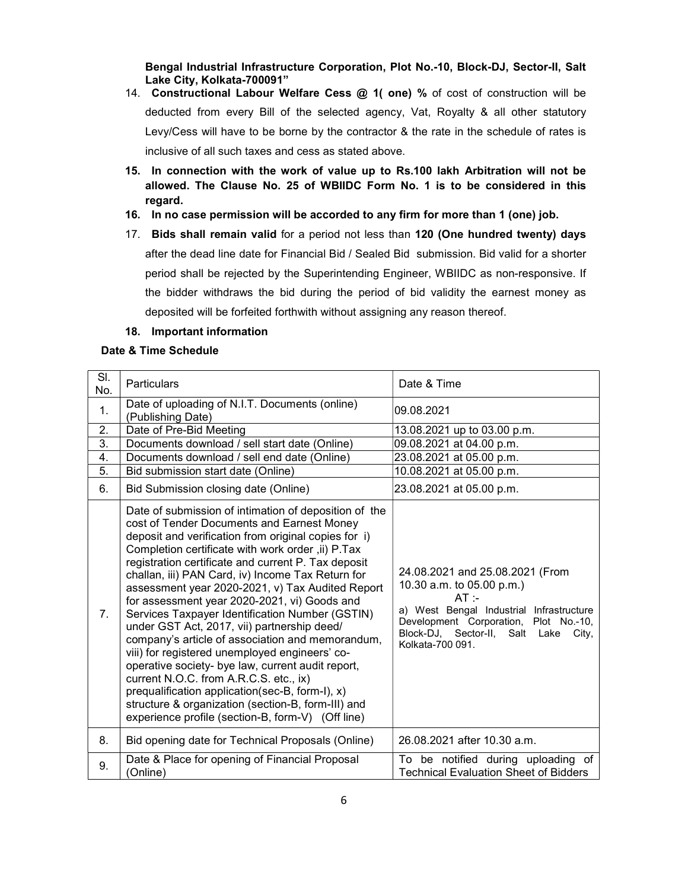Bengal Industrial Infrastructure Corporation, Plot No.-10, Block-DJ, Sector-II, Salt Lake City, Kolkata-700091"

- 14. Constructional Labour Welfare Cess @ 1( one) % of cost of construction will be deducted from every Bill of the selected agency, Vat, Royalty & all other statutory Levy/Cess will have to be borne by the contractor & the rate in the schedule of rates is inclusive of all such taxes and cess as stated above.
- 15. In connection with the work of value up to Rs.100 lakh Arbitration will not be allowed. The Clause No. 25 of WBIIDC Form No. 1 is to be considered in this regard.
- 16. In no case permission will be accorded to any firm for more than 1 (one) job.
- 17. Bids shall remain valid for a period not less than 120 (One hundred twenty) days after the dead line date for Financial Bid / Sealed Bid submission. Bid valid for a shorter period shall be rejected by the Superintending Engineer, WBIIDC as non-responsive. If the bidder withdraws the bid during the period of bid validity the earnest money as deposited will be forfeited forthwith without assigning any reason thereof.
- 18. Important information

#### Date & Time Schedule

| SI.<br>No.       | Particulars                                                                                                                                                                                                                                                                                                                                                                                                                                                                                                                                                                                                                                                                                                                                                                                                                                                                                           | Date & Time                                                                                                                                                                                                                      |
|------------------|-------------------------------------------------------------------------------------------------------------------------------------------------------------------------------------------------------------------------------------------------------------------------------------------------------------------------------------------------------------------------------------------------------------------------------------------------------------------------------------------------------------------------------------------------------------------------------------------------------------------------------------------------------------------------------------------------------------------------------------------------------------------------------------------------------------------------------------------------------------------------------------------------------|----------------------------------------------------------------------------------------------------------------------------------------------------------------------------------------------------------------------------------|
| 1.               | Date of uploading of N.I.T. Documents (online)<br>(Publishing Date)                                                                                                                                                                                                                                                                                                                                                                                                                                                                                                                                                                                                                                                                                                                                                                                                                                   | 09.08.2021                                                                                                                                                                                                                       |
| 2.               | Date of Pre-Bid Meeting                                                                                                                                                                                                                                                                                                                                                                                                                                                                                                                                                                                                                                                                                                                                                                                                                                                                               | 13.08.2021 up to 03.00 p.m.                                                                                                                                                                                                      |
| $\overline{3}$ . | Documents download / sell start date (Online)                                                                                                                                                                                                                                                                                                                                                                                                                                                                                                                                                                                                                                                                                                                                                                                                                                                         | 09.08.2021 at 04.00 p.m.                                                                                                                                                                                                         |
| 4.               | Documents download / sell end date (Online)                                                                                                                                                                                                                                                                                                                                                                                                                                                                                                                                                                                                                                                                                                                                                                                                                                                           | 23.08.2021 at 05.00 p.m.                                                                                                                                                                                                         |
| 5.               | Bid submission start date (Online)                                                                                                                                                                                                                                                                                                                                                                                                                                                                                                                                                                                                                                                                                                                                                                                                                                                                    | 10.08.2021 at 05.00 p.m.                                                                                                                                                                                                         |
| 6.               | Bid Submission closing date (Online)                                                                                                                                                                                                                                                                                                                                                                                                                                                                                                                                                                                                                                                                                                                                                                                                                                                                  | 23.08.2021 at 05.00 p.m.                                                                                                                                                                                                         |
| 7.               | Date of submission of intimation of deposition of the<br>cost of Tender Documents and Earnest Money<br>deposit and verification from original copies for i)<br>Completion certificate with work order, ii) P.Tax<br>registration certificate and current P. Tax deposit<br>challan, iii) PAN Card, iv) Income Tax Return for<br>assessment year 2020-2021, v) Tax Audited Report<br>for assessment year 2020-2021, vi) Goods and<br>Services Taxpayer Identification Number (GSTIN)<br>under GST Act, 2017, vii) partnership deed/<br>company's article of association and memorandum,<br>viii) for registered unemployed engineers' co-<br>operative society- bye law, current audit report,<br>current N.O.C. from A.R.C.S. etc., ix)<br>prequalification application(sec-B, form-I), x)<br>structure & organization (section-B, form-III) and<br>experience profile (section-B, form-V) (Off line) | 24.08.2021 and 25.08.2021 (From<br>10.30 a.m. to 05.00 p.m.)<br>$AT =$<br>a) West Bengal Industrial Infrastructure<br>Development Corporation, Plot No.-10,<br>Block-DJ, Sector-II,<br>Salt<br>Lake<br>City,<br>Kolkata-700 091. |
| 8.               | Bid opening date for Technical Proposals (Online)                                                                                                                                                                                                                                                                                                                                                                                                                                                                                                                                                                                                                                                                                                                                                                                                                                                     | 26.08.2021 after 10.30 a.m.                                                                                                                                                                                                      |
| 9.               | Date & Place for opening of Financial Proposal<br>(Online)                                                                                                                                                                                                                                                                                                                                                                                                                                                                                                                                                                                                                                                                                                                                                                                                                                            | To be notified during uploading of<br><b>Technical Evaluation Sheet of Bidders</b>                                                                                                                                               |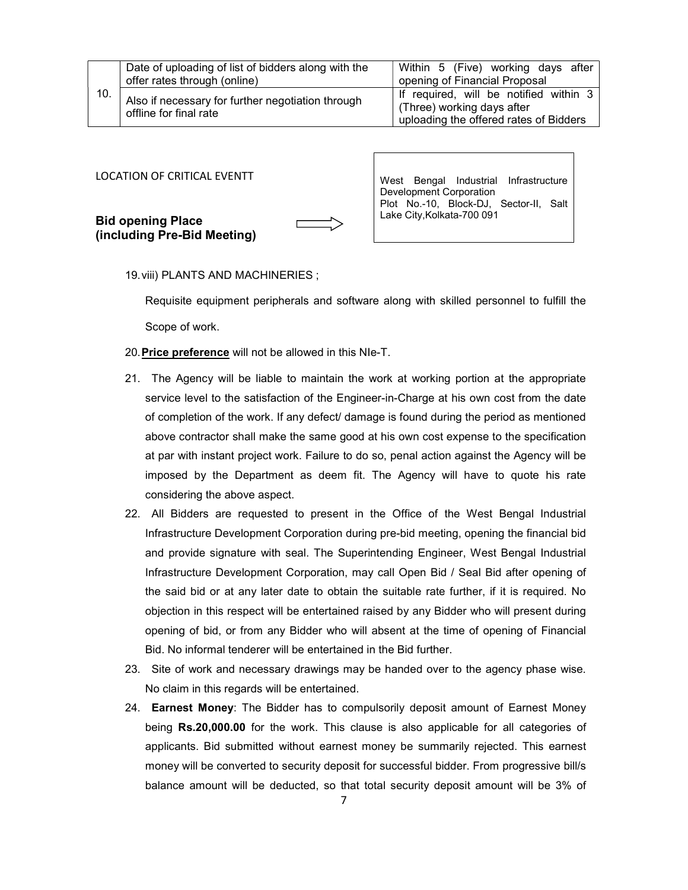| 10. | Date of uploading of list of bidders along with the<br>offer rates through (online) | Within 5 (Five) working days after<br>opening of Financial Proposal                                            |  |
|-----|-------------------------------------------------------------------------------------|----------------------------------------------------------------------------------------------------------------|--|
|     | Also if necessary for further negotiation through<br>offline for final rate         | If required, will be notified within 3<br>(Three) working days after<br>uploading the offered rates of Bidders |  |

LOCATION OF CRITICAL EVENTT

Bid opening Place (including Pre-Bid Meeting)

West Bengal Industrial Infrastructure Development Corporation Plot No.-10, Block-DJ, Sector-II, Salt Lake City,Kolkata-700 091

19. viii) PLANTS AND MACHINERIES ;

Requisite equipment peripherals and software along with skilled personnel to fulfill the Scope of work.

- 20. Price preference will not be allowed in this NIe-T.
- 21. The Agency will be liable to maintain the work at working portion at the appropriate service level to the satisfaction of the Engineer-in-Charge at his own cost from the date of completion of the work. If any defect/ damage is found during the period as mentioned above contractor shall make the same good at his own cost expense to the specification at par with instant project work. Failure to do so, penal action against the Agency will be imposed by the Department as deem fit. The Agency will have to quote his rate considering the above aspect.
- 22. All Bidders are requested to present in the Office of the West Bengal Industrial Infrastructure Development Corporation during pre-bid meeting, opening the financial bid and provide signature with seal. The Superintending Engineer, West Bengal Industrial Infrastructure Development Corporation, may call Open Bid / Seal Bid after opening of the said bid or at any later date to obtain the suitable rate further, if it is required. No objection in this respect will be entertained raised by any Bidder who will present during opening of bid, or from any Bidder who will absent at the time of opening of Financial Bid. No informal tenderer will be entertained in the Bid further.
- 23. Site of work and necessary drawings may be handed over to the agency phase wise. No claim in this regards will be entertained.
- 24. Earnest Money: The Bidder has to compulsorily deposit amount of Earnest Money being Rs.20,000.00 for the work. This clause is also applicable for all categories of applicants. Bid submitted without earnest money be summarily rejected. This earnest money will be converted to security deposit for successful bidder. From progressive bill/s balance amount will be deducted, so that total security deposit amount will be 3% of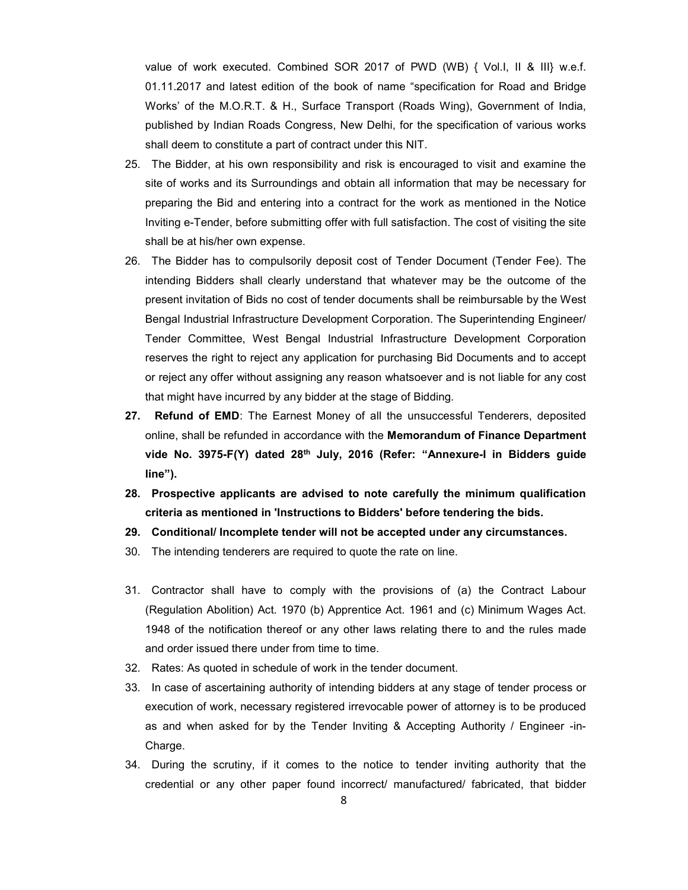value of work executed. Combined SOR 2017 of PWD (WB) { Vol.I, II & III} w.e.f. 01.11.2017 and latest edition of the book of name "specification for Road and Bridge Works' of the M.O.R.T. & H., Surface Transport (Roads Wing), Government of India, published by Indian Roads Congress, New Delhi, for the specification of various works shall deem to constitute a part of contract under this NIT.

- 25. The Bidder, at his own responsibility and risk is encouraged to visit and examine the site of works and its Surroundings and obtain all information that may be necessary for preparing the Bid and entering into a contract for the work as mentioned in the Notice Inviting e-Tender, before submitting offer with full satisfaction. The cost of visiting the site shall be at his/her own expense.
- 26. The Bidder has to compulsorily deposit cost of Tender Document (Tender Fee). The intending Bidders shall clearly understand that whatever may be the outcome of the present invitation of Bids no cost of tender documents shall be reimbursable by the West Bengal Industrial Infrastructure Development Corporation. The Superintending Engineer/ Tender Committee, West Bengal Industrial Infrastructure Development Corporation reserves the right to reject any application for purchasing Bid Documents and to accept or reject any offer without assigning any reason whatsoever and is not liable for any cost that might have incurred by any bidder at the stage of Bidding.
- 27. Refund of EMD: The Earnest Money of all the unsuccessful Tenderers, deposited online, shall be refunded in accordance with the Memorandum of Finance Department vide No. 3975-F(Y) dated 28<sup>th</sup> July, 2016 (Refer: "Annexure-I in Bidders guide line").
- 28. Prospective applicants are advised to note carefully the minimum qualification criteria as mentioned in 'Instructions to Bidders' before tendering the bids.
- 29. Conditional/ Incomplete tender will not be accepted under any circumstances.
- 30. The intending tenderers are required to quote the rate on line.
- 31. Contractor shall have to comply with the provisions of (a) the Contract Labour (Regulation Abolition) Act. 1970 (b) Apprentice Act. 1961 and (c) Minimum Wages Act. 1948 of the notification thereof or any other laws relating there to and the rules made and order issued there under from time to time.
- 32. Rates: As quoted in schedule of work in the tender document.
- 33. In case of ascertaining authority of intending bidders at any stage of tender process or execution of work, necessary registered irrevocable power of attorney is to be produced as and when asked for by the Tender Inviting & Accepting Authority / Engineer -in-Charge.
- 34. During the scrutiny, if it comes to the notice to tender inviting authority that the credential or any other paper found incorrect/ manufactured/ fabricated, that bidder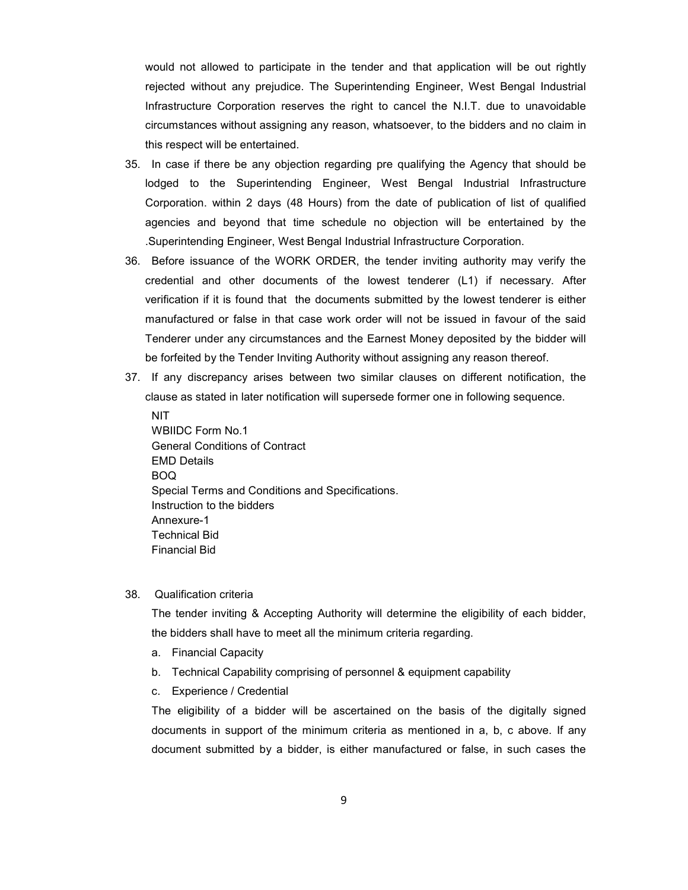would not allowed to participate in the tender and that application will be out rightly rejected without any prejudice. The Superintending Engineer, West Bengal Industrial Infrastructure Corporation reserves the right to cancel the N.I.T. due to unavoidable circumstances without assigning any reason, whatsoever, to the bidders and no claim in this respect will be entertained.

- 35. In case if there be any objection regarding pre qualifying the Agency that should be lodged to the Superintending Engineer, West Bengal Industrial Infrastructure Corporation. within 2 days (48 Hours) from the date of publication of list of qualified agencies and beyond that time schedule no objection will be entertained by the .Superintending Engineer, West Bengal Industrial Infrastructure Corporation.
- 36. Before issuance of the WORK ORDER, the tender inviting authority may verify the credential and other documents of the lowest tenderer (L1) if necessary. After verification if it is found that the documents submitted by the lowest tenderer is either manufactured or false in that case work order will not be issued in favour of the said Tenderer under any circumstances and the Earnest Money deposited by the bidder will be forfeited by the Tender Inviting Authority without assigning any reason thereof.
- 37. If any discrepancy arises between two similar clauses on different notification, the clause as stated in later notification will supersede former one in following sequence.

**NIT** WBIIDC Form No.1 General Conditions of Contract EMD Details BOQ Special Terms and Conditions and Specifications. Instruction to the bidders Annexure-1 Technical Bid Financial Bid

#### 38. Qualification criteria

The tender inviting & Accepting Authority will determine the eligibility of each bidder, the bidders shall have to meet all the minimum criteria regarding.

- a. Financial Capacity
- b. Technical Capability comprising of personnel & equipment capability
- c. Experience / Credential

The eligibility of a bidder will be ascertained on the basis of the digitally signed documents in support of the minimum criteria as mentioned in a, b, c above. If any document submitted by a bidder, is either manufactured or false, in such cases the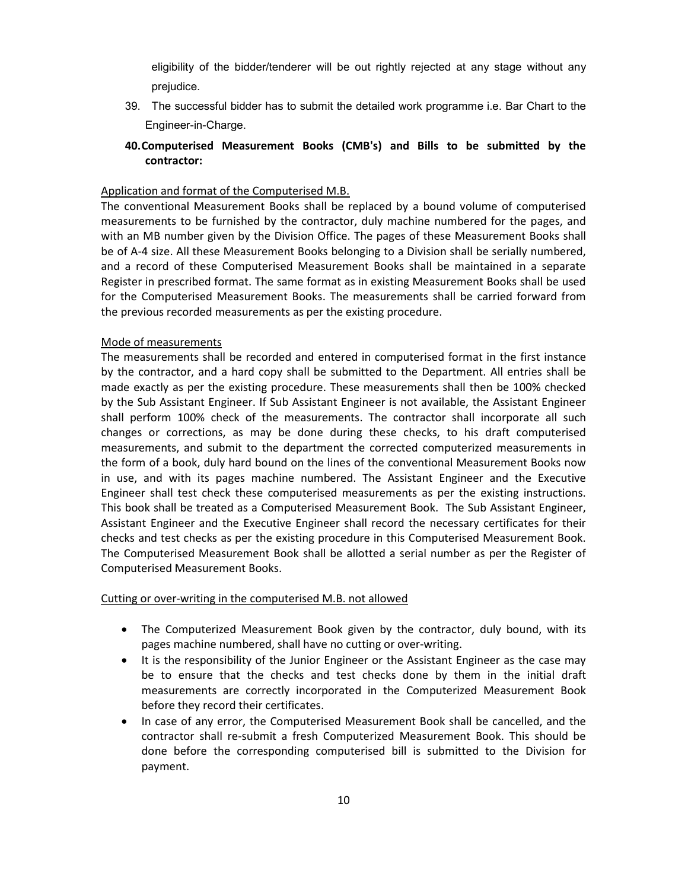eligibility of the bidder/tenderer will be out rightly rejected at any stage without any prejudice.

- 39. The successful bidder has to submit the detailed work programme i.e. Bar Chart to the Engineer-in-Charge.
- 40.Computerised Measurement Books (CMB's) and Bills to be submitted by the contractor:

## Application and format of the Computerised M.B.

The conventional Measurement Books shall be replaced by a bound volume of computerised measurements to be furnished by the contractor, duly machine numbered for the pages, and with an MB number given by the Division Office. The pages of these Measurement Books shall be of A-4 size. All these Measurement Books belonging to a Division shall be serially numbered, and a record of these Computerised Measurement Books shall be maintained in a separate Register in prescribed format. The same format as in existing Measurement Books shall be used for the Computerised Measurement Books. The measurements shall be carried forward from the previous recorded measurements as per the existing procedure.

### Mode of measurements

The measurements shall be recorded and entered in computerised format in the first instance by the contractor, and a hard copy shall be submitted to the Department. All entries shall be made exactly as per the existing procedure. These measurements shall then be 100% checked by the Sub Assistant Engineer. If Sub Assistant Engineer is not available, the Assistant Engineer shall perform 100% check of the measurements. The contractor shall incorporate all such changes or corrections, as may be done during these checks, to his draft computerised measurements, and submit to the department the corrected computerized measurements in the form of a book, duly hard bound on the lines of the conventional Measurement Books now in use, and with its pages machine numbered. The Assistant Engineer and the Executive Engineer shall test check these computerised measurements as per the existing instructions. This book shall be treated as a Computerised Measurement Book. The Sub Assistant Engineer, Assistant Engineer and the Executive Engineer shall record the necessary certificates for their checks and test checks as per the existing procedure in this Computerised Measurement Book. The Computerised Measurement Book shall be allotted a serial number as per the Register of Computerised Measurement Books.

### Cutting or over-writing in the computerised M.B. not allowed

- The Computerized Measurement Book given by the contractor, duly bound, with its pages machine numbered, shall have no cutting or over-writing.
- It is the responsibility of the Junior Engineer or the Assistant Engineer as the case may be to ensure that the checks and test checks done by them in the initial draft measurements are correctly incorporated in the Computerized Measurement Book before they record their certificates.
- In case of any error, the Computerised Measurement Book shall be cancelled, and the contractor shall re-submit a fresh Computerized Measurement Book. This should be done before the corresponding computerised bill is submitted to the Division for payment.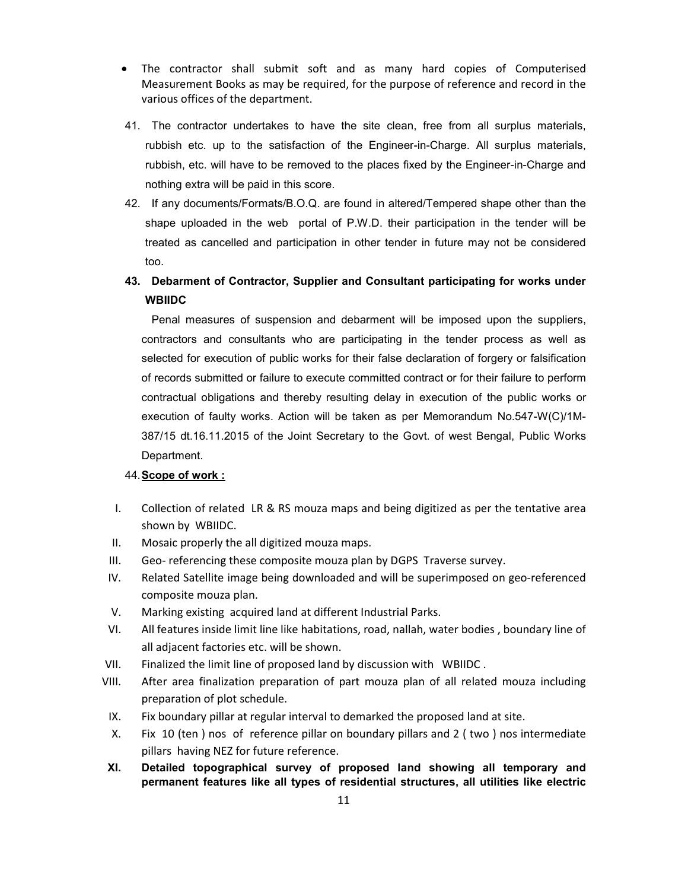- The contractor shall submit soft and as many hard copies of Computerised Measurement Books as may be required, for the purpose of reference and record in the various offices of the department.
- 41. The contractor undertakes to have the site clean, free from all surplus materials, rubbish etc. up to the satisfaction of the Engineer-in-Charge. All surplus materials, rubbish, etc. will have to be removed to the places fixed by the Engineer-in-Charge and nothing extra will be paid in this score.
- 42. If any documents/Formats/B.O.Q. are found in altered/Tempered shape other than the shape uploaded in the web portal of P.W.D. their participation in the tender will be treated as cancelled and participation in other tender in future may not be considered too.
- 43. Debarment of Contractor, Supplier and Consultant participating for works under **WBIIDC**

Penal measures of suspension and debarment will be imposed upon the suppliers, contractors and consultants who are participating in the tender process as well as selected for execution of public works for their false declaration of forgery or falsification of records submitted or failure to execute committed contract or for their failure to perform contractual obligations and thereby resulting delay in execution of the public works or execution of faulty works. Action will be taken as per Memorandum No.547-W(C)/1M-387/15 dt.16.11.2015 of the Joint Secretary to the Govt. of west Bengal, Public Works Department.

## 44. Scope of work :

- I. Collection of related LR & RS mouza maps and being digitized as per the tentative area shown by WBIIDC.
- II. Mosaic properly the all digitized mouza maps.
- III. Geo- referencing these composite mouza plan by DGPS Traverse survey.
- IV. Related Satellite image being downloaded and will be superimposed on geo-referenced composite mouza plan.
- V. Marking existing acquired land at different Industrial Parks.
- VI. All features inside limit line like habitations, road, nallah, water bodies , boundary line of all adjacent factories etc. will be shown.
- VII. Finalized the limit line of proposed land by discussion with WBIIDC .
- VIII. After area finalization preparation of part mouza plan of all related mouza including preparation of plot schedule.
- IX. Fix boundary pillar at regular interval to demarked the proposed land at site.
- X. Fix 10 (ten ) nos of reference pillar on boundary pillars and 2 ( two ) nos intermediate pillars having NEZ for future reference.
- XI. Detailed topographical survey of proposed land showing all temporary and permanent features like all types of residential structures, all utilities like electric